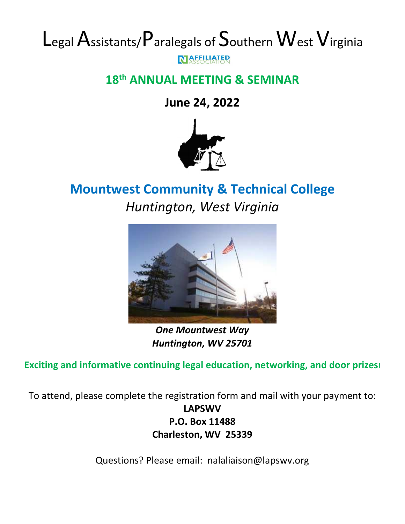# Legal Assistants/Paralegals of Southern West Virginia **NAFFILIATED**

### 18th ANNUAL MEETING & SEMINAR

June 24, 2022



## **Mountwest Community & Technical College** Huntington, West Virginia



**One Mountwest Way** Huntington, WV 25701

Exciting and informative continuing legal education, networking, and door prizes!

To attend, please complete the registration form and mail with your payment to: **LAPSWV** P.O. Box 11488 Charleston, WV 25339

Questions? Please email: nalaliaison@lapswv.org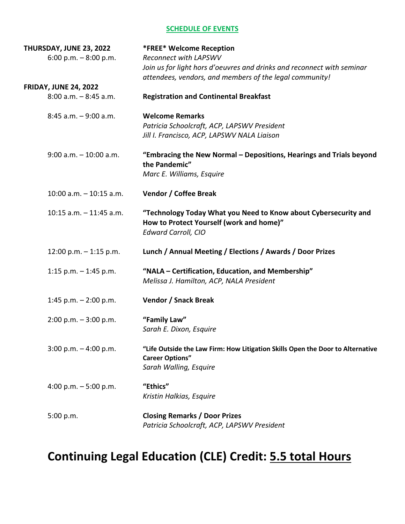#### **SCHEDULE OF EVENTS**

|                              | <b>*FREE* Welcome Reception</b>                                                                                |
|------------------------------|----------------------------------------------------------------------------------------------------------------|
| 6:00 p.m. $-8:00$ p.m.       | Reconnect with LAPSWV                                                                                          |
|                              | Join us for light hors d'oeuvres and drinks and reconnect with seminar                                         |
|                              | attendees, vendors, and members of the legal community!                                                        |
| <b>FRIDAY, JUNE 24, 2022</b> |                                                                                                                |
| $8:00$ a.m. $-8:45$ a.m.     | <b>Registration and Continental Breakfast</b>                                                                  |
| $8:45$ a.m. $-9:00$ a.m.     | <b>Welcome Remarks</b>                                                                                         |
|                              | Patricia Schoolcraft, ACP, LAPSWV President                                                                    |
|                              | Jill I. Francisco, ACP, LAPSWV NALA Liaison                                                                    |
| $9:00$ a.m. $-10:00$ a.m.    | "Embracing the New Normal - Depositions, Hearings and Trials beyond                                            |
|                              | the Pandemic"                                                                                                  |
|                              | Marc E. Williams, Esquire                                                                                      |
| $10:00$ a.m. $-10:15$ a.m.   | <b>Vendor / Coffee Break</b>                                                                                   |
| $10:15$ a.m. $-11:45$ a.m.   | "Technology Today What you Need to Know about Cybersecurity and                                                |
|                              | How to Protect Yourself (work and home)"                                                                       |
|                              | <b>Edward Carroll, CIO</b>                                                                                     |
| 12:00 p.m. $-$ 1:15 p.m.     | Lunch / Annual Meeting / Elections / Awards / Door Prizes                                                      |
|                              | "NALA - Certification, Education, and Membership"                                                              |
|                              | Melissa J. Hamilton, ACP, NALA President                                                                       |
|                              |                                                                                                                |
|                              | <b>Vendor / Snack Break</b>                                                                                    |
| $2:00$ p.m. $-3:00$ p.m.     | "Family Law"                                                                                                   |
|                              | Sarah E. Dixon, Esquire                                                                                        |
| $3:00$ p.m. $-4:00$ p.m.     | "Life Outside the Law Firm: How Litigation Skills Open the Door to Alternative                                 |
|                              | <b>Career Options"</b>                                                                                         |
|                              | Sarah Walling, Esquire                                                                                         |
|                              | "Ethics"                                                                                                       |
|                              | Kristin Halkias, Esquire                                                                                       |
| 5:00 p.m.                    | <b>Closing Remarks / Door Prizes</b>                                                                           |
|                              | Patricia Schoolcraft, ACP, LAPSWV President                                                                    |
|                              | <b>THURSDAY, JUNE 23, 2022</b><br>1:15 p.m. $-$ 1:45 p.m.<br>1:45 p.m. $-$ 2:00 p.m.<br>4:00 p.m. $-5:00$ p.m. |

## Continuing Legal Education (CLE) Credit: 5.5 total Hours